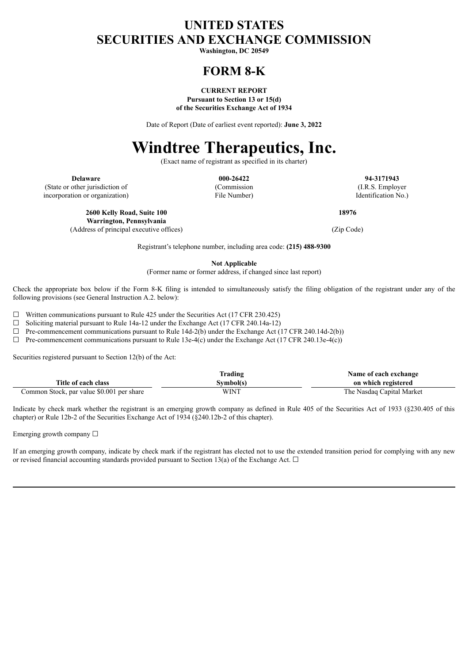# **UNITED STATES SECURITIES AND EXCHANGE COMMISSION**

**Washington, DC 20549**

# **FORM 8-K**

## **CURRENT REPORT**

**Pursuant to Section 13 or 15(d) of the Securities Exchange Act of 1934**

Date of Report (Date of earliest event reported): **June 3, 2022**

# **Windtree Therapeutics, Inc.**

(Exact name of registrant as specified in its charter)

(State or other jurisdiction of incorporation or organization)

(Commission File Number)

**Delaware 000-26422 94-3171943** (I.R.S. Employer Identification No.)

**18976**

**Warrington, Pennsylvania**

(Address of principal executive offices) (Zip Code)

**2600 Kelly Road, Suite 100**

Registrant's telephone number, including area code: **(215) 488-9300**

**Not Applicable**

(Former name or former address, if changed since last report)

Check the appropriate box below if the Form 8-K filing is intended to simultaneously satisfy the filing obligation of the registrant under any of the following provisions (see General Instruction A.2. below):

 $\Box$  Written communications pursuant to Rule 425 under the Securities Act (17 CFR 230.425)

 $\Box$  Soliciting material pursuant to Rule 14a-12 under the Exchange Act (17 CFR 240.14a-12)

 $\Box$  Pre-commencement communications pursuant to Rule 14d-2(b) under the Exchange Act (17 CFR 240.14d-2(b))

 $\Box$  Pre-commencement communications pursuant to Rule 13e-4(c) under the Exchange Act (17 CFR 240.13e-4(c))

Securities registered pursuant to Section 12(b) of the Act:

|                                           | Trading     | Name of each exchange     |
|-------------------------------------------|-------------|---------------------------|
| Title of each class                       | Symbol(s)   | on which registered       |
| Common Stock, par value \$0.001 per share | <b>WINT</b> | The Nasdaq Capital Market |

Indicate by check mark whether the registrant is an emerging growth company as defined in Rule 405 of the Securities Act of 1933 (§230.405 of this chapter) or Rule 12b-2 of the Securities Exchange Act of 1934 (§240.12b-2 of this chapter).

Emerging growth company ☐

If an emerging growth company, indicate by check mark if the registrant has elected not to use the extended transition period for complying with any new or revised financial accounting standards provided pursuant to Section 13(a) of the Exchange Act.  $\Box$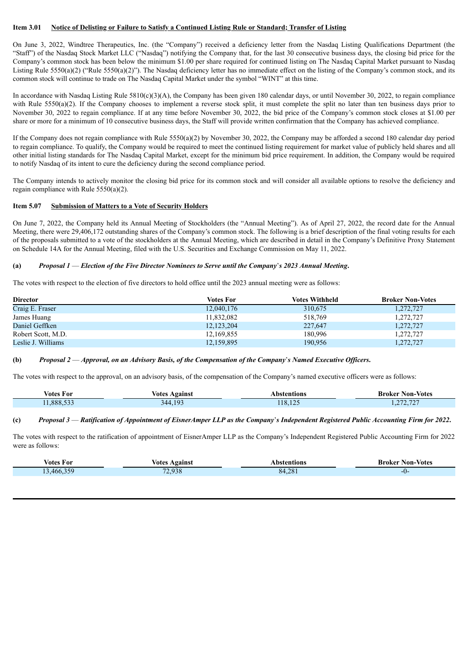#### Item 3.01 Notice of Delisting or Failure to Satisfy a Continued Listing Rule or Standard; Transfer of Listing

On June 3, 2022, Windtree Therapeutics, Inc. (the "Company") received a deficiency letter from the Nasdaq Listing Qualifications Department (the "Staff") of the Nasdaq Stock Market LLC ("Nasdaq") notifying the Company that, for the last 30 consecutive business days, the closing bid price for the Company's common stock has been below the minimum \$1.00 per share required for continued listing on The Nasdaq Capital Market pursuant to Nasdaq Listing Rule 5550(a)(2) ("Rule 5550(a)(2)"). The Nasdaq deficiency letter has no immediate effect on the listing of the Company's common stock, and its common stock will continue to trade on The Nasdaq Capital Market under the symbol "WINT" at this time.

In accordance with Nasdaq Listing Rule  $5810(c)(3)(A)$ , the Company has been given 180 calendar days, or until November 30, 2022, to regain compliance with Rule 5550(a)(2). If the Company chooses to implement a reverse stock split, it must complete the split no later than ten business days prior to November 30, 2022 to regain compliance. If at any time before November 30, 2022, the bid price of the Company's common stock closes at \$1.00 per share or more for a minimum of 10 consecutive business days, the Staff will provide written confirmation that the Company has achieved compliance.

If the Company does not regain compliance with Rule 5550(a)(2) by November 30, 2022, the Company may be afforded a second 180 calendar day period to regain compliance. To qualify, the Company would be required to meet the continued listing requirement for market value of publicly held shares and all other initial listing standards for The Nasdaq Capital Market, except for the minimum bid price requirement. In addition, the Company would be required to notify Nasdaq of its intent to cure the deficiency during the second compliance period.

The Company intends to actively monitor the closing bid price for its common stock and will consider all available options to resolve the deficiency and regain compliance with Rule 5550(a)(2).

#### **Item 5.07 Submission of Matters to a Vote of Security Holders**

On June 7, 2022, the Company held its Annual Meeting of Stockholders (the "Annual Meeting"). As of April 27, 2022, the record date for the Annual Meeting, there were 29,406,172 outstanding shares of the Company's common stock. The following is a brief description of the final voting results for each of the proposals submitted to a vote of the stockholders at the Annual Meeting, which are described in detail in the Company's Definitive Proxy Statement on Schedule 14A for the Annual Meeting, filed with the U.S. Securities and Exchange Commission on May 11, 2022.

#### (a) Proposal 1 – Election of the Five Director Nominees to Serve until the Company's 2023 Annual Meeting.

The votes with respect to the election of five directors to hold office until the 2023 annual meeting were as follows:

| <b>Director</b>    | <b>Votes For</b> | <b>Votes Withheld</b> | <b>Broker Non-Votes</b> |
|--------------------|------------------|-----------------------|-------------------------|
| Craig E. Fraser    | 12,040,176       | 310,675               | 1,272,727               |
| James Huang        | 11,832,082       | 518,769               | 1,272,727               |
| Daniel Geffken     | 12, 123, 204     | 227,647               | 1,272,727               |
| Robert Scott, M.D. | 12,169,855       | 180,996               | 1,272,727               |
| Leslie J. Williams | 12,159,895       | 190.956               | 1,272,727               |

#### (b) Proposal  $2$  - Approval, on an Advisory Basis, of the Compensation of the Company's Named Executive Officers.

The votes with respect to the approval, on an advisory basis, of the compensation of the Company's named executive officers were as follows:

| Votes For | votes<br>Against            | Abstentions  | Non-Votes<br>Broker   |
|-----------|-----------------------------|--------------|-----------------------|
| .888.533  | $\sim$ 10 $^{\circ}$<br>344 | $\sim$<br>10 | $\sim$ $\sim$<br>$ -$ |

#### (c) Proposal 3 — Ratification of Appointment of EisnerAmper LLP as the Company's Independent Registered Public Accounting Firm for 2022.

The votes with respect to the ratification of appointment of EisnerAmper LLP as the Company's Independent Registered Public Accounting Firm for 2022 were as follows:

| Votes For                       | /otes<br>Against | Abstentions | Non-Votes<br>Broker |
|---------------------------------|------------------|-------------|---------------------|
| $\Delta$ $\sim$ $\sim$<br>.466. | 72.938           | .281<br>84  | -11                 |